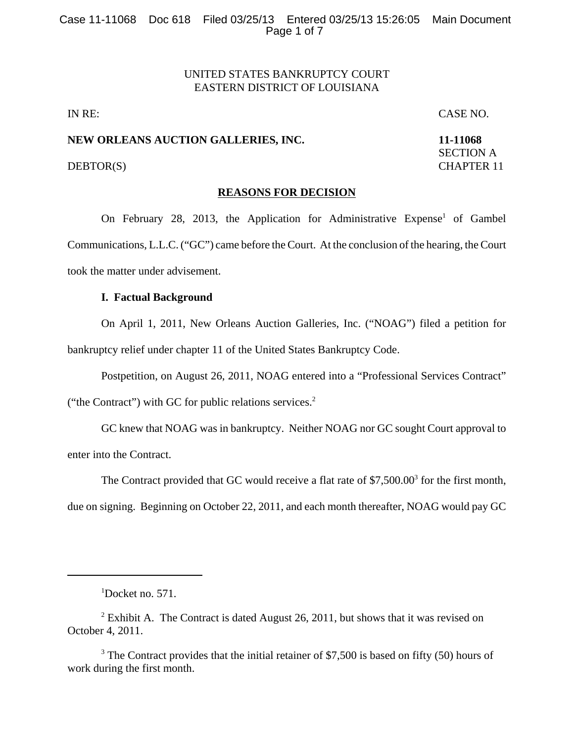# UNITED STATES BANKRUPTCY COURT EASTERN DISTRICT OF LOUISIANA

IN RE: CASE NO.

SECTION A

# **NEW ORLEANS AUCTION GALLERIES, INC. 11-11068**

# DEBTOR(S) CHAPTER 11

# **REASONS FOR DECISION**

On February 28, 2013, the Application for Administrative Expense<sup>1</sup> of Gambel Communications, L.L.C. ("GC") came before the Court. At the conclusion of the hearing, the Court took the matter under advisement.

## **I. Factual Background**

On April 1, 2011, New Orleans Auction Galleries, Inc. ("NOAG") filed a petition for bankruptcy relief under chapter 11 of the United States Bankruptcy Code.

Postpetition, on August 26, 2011, NOAG entered into a "Professional Services Contract"

("the Contract") with GC for public relations services. $2$ 

GC knew that NOAG was in bankruptcy. Neither NOAG nor GC sought Court approval to enter into the Contract.

The Contract provided that GC would receive a flat rate of \$7,500.00<sup>3</sup> for the first month, due on signing. Beginning on October 22, 2011, and each month thereafter, NOAG would pay GC

<sup>1</sup> Docket no. 571.

<sup>&</sup>lt;sup>2</sup> Exhibit A. The Contract is dated August 26, 2011, but shows that it was revised on October 4, 2011.

 $3$  The Contract provides that the initial retainer of \$7,500 is based on fifty (50) hours of work during the first month.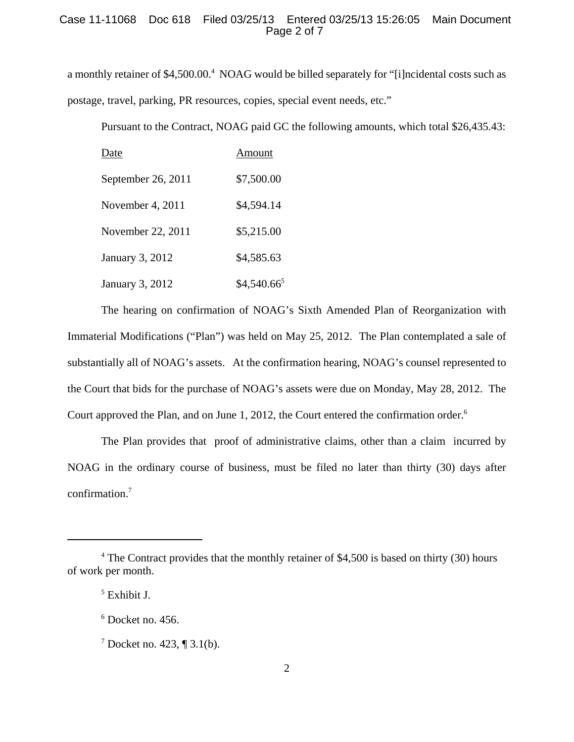# Case 11-11068 Doc 618 Filed 03/25/13 Entered 03/25/13 15:26:05 Main Document Page 2 of 7

a monthly retainer of \$4,500.00.<sup>4</sup> NOAG would be billed separately for "[i]ncidental costs such as postage, travel, parking, PR resources, copies, special event needs, etc."

Pursuant to the Contract, NOAG paid GC the following amounts, which total \$26,435.43:

| Date               | Amount                  |
|--------------------|-------------------------|
| September 26, 2011 | \$7,500.00              |
| November 4, 2011   | \$4,594.14              |
| November 22, 2011  | \$5,215.00              |
| January 3, 2012    | \$4,585.63              |
| January 3, 2012    | \$4,540.66 <sup>5</sup> |

The hearing on confirmation of NOAG's Sixth Amended Plan of Reorganization with Immaterial Modifications ("Plan") was held on May 25, 2012. The Plan contemplated a sale of substantially all of NOAG's assets. At the confirmation hearing, NOAG's counsel represented to the Court that bids for the purchase of NOAG's assets were due on Monday, May 28, 2012. The Court approved the Plan, and on June 1, 2012, the Court entered the confirmation order.<sup>6</sup>

The Plan provides that proof of administrative claims, other than a claim incurred by NOAG in the ordinary course of business, must be filed no later than thirty (30) days after confirmation.7

<sup>&</sup>lt;sup>4</sup> The Contract provides that the monthly retainer of \$4,500 is based on thirty (30) hours of work per month.

<sup>5</sup> Exhibit J.

<sup>6</sup> Docket no. 456.

<sup>&</sup>lt;sup>7</sup> Docket no. 423, ¶ 3.1(b).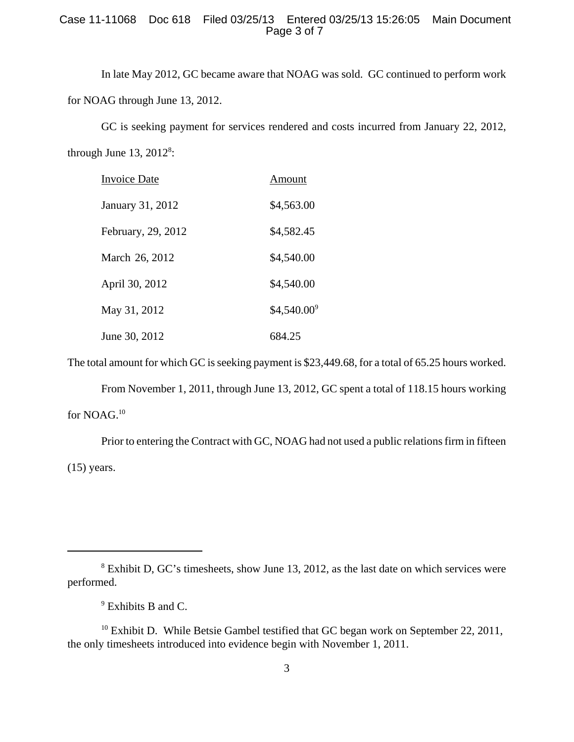# Case 11-11068 Doc 618 Filed 03/25/13 Entered 03/25/13 15:26:05 Main Document Page 3 of 7

In late May 2012, GC became aware that NOAG was sold. GC continued to perform work for NOAG through June 13, 2012.

GC is seeking payment for services rendered and costs incurred from January 22, 2012, through June  $13, 2012^8$ :

| Invoice Date       | Amount        |
|--------------------|---------------|
| January 31, 2012   | \$4,563.00    |
| February, 29, 2012 | \$4,582.45    |
| March 26, 2012     | \$4,540.00    |
| April 30, 2012     | \$4,540.00    |
| May 31, 2012       | $$4,540.00^9$ |
| June 30, 2012      | 684.25        |

The total amount for which GC is seeking payment is \$23,449.68, for a total of 65.25 hours worked.

From November 1, 2011, through June 13, 2012, GC spent a total of 118.15 hours working for NOAG.<sup>10</sup>

Prior to entering the Contract with GC, NOAG had not used a public relations firm in fifteen  $(15)$  years.

<sup>&</sup>lt;sup>8</sup> Exhibit D, GC's timesheets, show June 13, 2012, as the last date on which services were performed.

<sup>&</sup>lt;sup>9</sup> Exhibits B and C.

 $10$  Exhibit D. While Betsie Gambel testified that GC began work on September 22, 2011, the only timesheets introduced into evidence begin with November 1, 2011.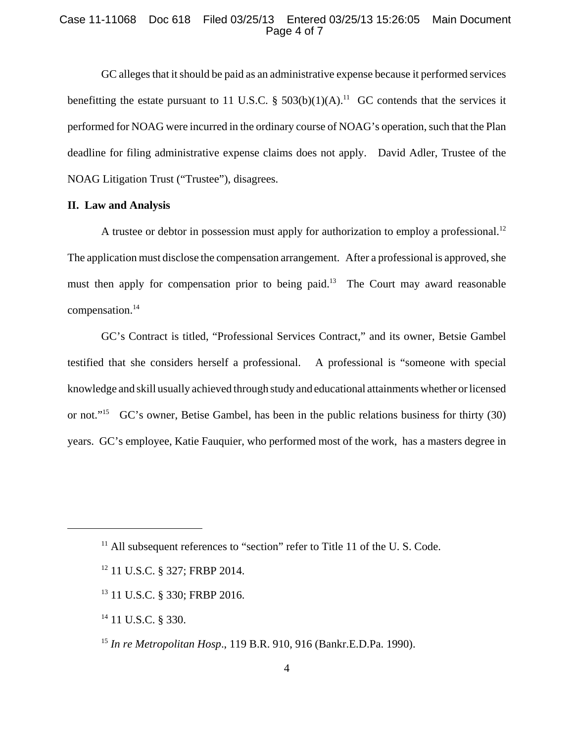## Case 11-11068 Doc 618 Filed 03/25/13 Entered 03/25/13 15:26:05 Main Document Page 4 of 7

GC alleges that it should be paid as an administrative expense because it performed services benefitting the estate pursuant to 11 U.S.C. §  $503(b)(1)(A)$ .<sup>11</sup> GC contends that the services it performed for NOAG were incurred in the ordinary course of NOAG's operation, such that the Plan deadline for filing administrative expense claims does not apply. David Adler, Trustee of the NOAG Litigation Trust ("Trustee"), disagrees.

# **II. Law and Analysis**

A trustee or debtor in possession must apply for authorization to employ a professional.<sup>12</sup> The application must disclose the compensation arrangement. After a professional is approved, she must then apply for compensation prior to being paid.<sup>13</sup> The Court may award reasonable compensation.14

GC's Contract is titled, "Professional Services Contract," and its owner, Betsie Gambel testified that she considers herself a professional. A professional is "someone with special knowledge and skill usually achieved through study and educational attainments whether or licensed or not."15 GC's owner, Betise Gambel, has been in the public relations business for thirty (30) years. GC's employee, Katie Fauquier, who performed most of the work, has a masters degree in

- 13 11 U.S.C. § 330; FRBP 2016.
- <sup>14</sup> 11 U.S.C. § 330.

 $11$  All subsequent references to "section" refer to Title 11 of the U.S. Code.

<sup>12 11</sup> U.S.C. § 327; FRBP 2014.

<sup>15</sup> *In re Metropolitan Hosp*., 119 B.R. 910, 916 (Bankr.E.D.Pa. 1990).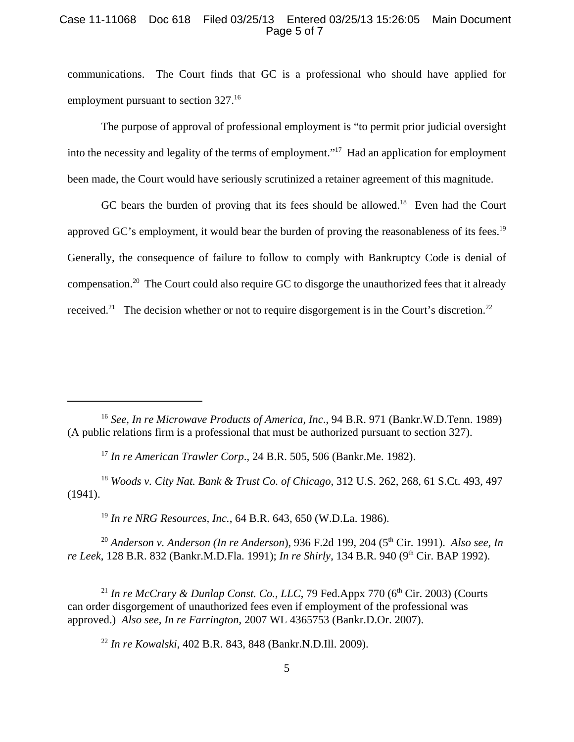## Case 11-11068 Doc 618 Filed 03/25/13 Entered 03/25/13 15:26:05 Main Document Page 5 of 7

communications. The Court finds that GC is a professional who should have applied for employment pursuant to section 327.<sup>16</sup>

The purpose of approval of professional employment is "to permit prior judicial oversight into the necessity and legality of the terms of employment."17 Had an application for employment been made, the Court would have seriously scrutinized a retainer agreement of this magnitude.

GC bears the burden of proving that its fees should be allowed.<sup>18</sup> Even had the Court approved GC's employment, it would bear the burden of proving the reasonableness of its fees.<sup>19</sup> Generally, the consequence of failure to follow to comply with Bankruptcy Code is denial of compensation.20 The Court could also require GC to disgorge the unauthorized fees that it already received.<sup>21</sup> The decision whether or not to require disgorgement is in the Court's discretion.<sup>22</sup>

<sup>16</sup> *See, In re Microwave Products of America, Inc*., 94 B.R. 971 (Bankr.W.D.Tenn. 1989) (A public relations firm is a professional that must be authorized pursuant to section 327).

<sup>17</sup> *In re American Trawler Corp*., 24 B.R. 505, 506 (Bankr.Me. 1982).

<sup>18</sup> *Woods v. City Nat. Bank & Trust Co. of Chicago*, 312 U.S. 262, 268, 61 S.Ct. 493, 497 (1941).

<sup>19</sup> *In re NRG Resources, Inc.*, 64 B.R. 643, 650 (W.D.La. 1986).

<sup>20</sup> Anderson v. Anderson (In re Anderson), 936 F.2d 199, 204 (5<sup>th</sup> Cir. 1991). *Also see, In re Leek*, 128 B.R. 832 (Bankr.M.D.Fla. 1991); *In re Shirly*, 134 B.R. 940 (9<sup>th</sup> Cir. BAP 1992).

<sup>21</sup> In re McCrary & Dunlap Const. Co., LLC, 79 Fed.Appx 770 ( $6<sup>th</sup> Cir.$  2003) (Courts can order disgorgement of unauthorized fees even if employment of the professional was approved.) *Also see, In re Farrington*, 2007 WL 4365753 (Bankr.D.Or. 2007).

<sup>22</sup> *In re Kowalski*, 402 B.R. 843, 848 (Bankr.N.D.Ill. 2009).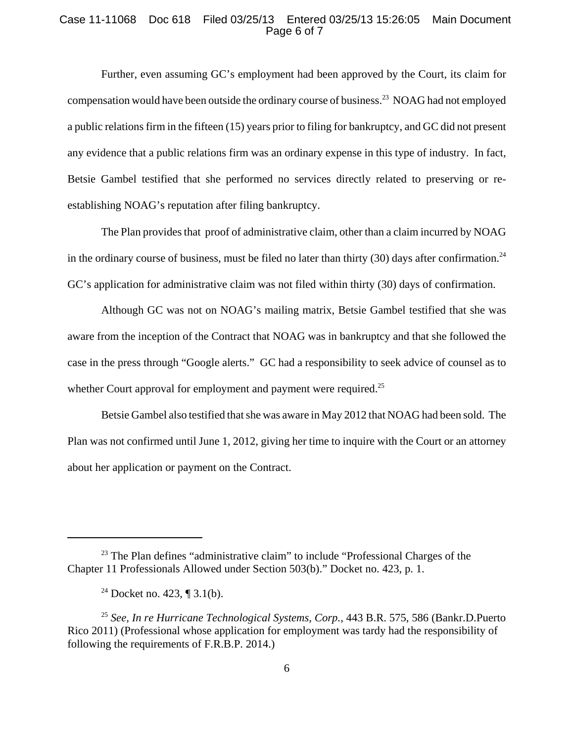## Case 11-11068 Doc 618 Filed 03/25/13 Entered 03/25/13 15:26:05 Main Document Page 6 of 7

Further, even assuming GC's employment had been approved by the Court, its claim for compensation would have been outside the ordinary course of business.<sup>23</sup> NOAG had not employed a public relations firm in the fifteen (15) years prior to filing for bankruptcy, and GC did not present any evidence that a public relations firm was an ordinary expense in this type of industry. In fact, Betsie Gambel testified that she performed no services directly related to preserving or reestablishing NOAG's reputation after filing bankruptcy.

The Plan provides that proof of administrative claim, other than a claim incurred by NOAG in the ordinary course of business, must be filed no later than thirty  $(30)$  days after confirmation.<sup>24</sup> GC's application for administrative claim was not filed within thirty (30) days of confirmation.

Although GC was not on NOAG's mailing matrix, Betsie Gambel testified that she was aware from the inception of the Contract that NOAG was in bankruptcy and that she followed the case in the press through "Google alerts." GC had a responsibility to seek advice of counsel as to whether Court approval for employment and payment were required.<sup>25</sup>

Betsie Gambel also testified that she was aware in May 2012 that NOAG had been sold. The Plan was not confirmed until June 1, 2012, giving her time to inquire with the Court or an attorney about her application or payment on the Contract.

 $23$  The Plan defines "administrative claim" to include "Professional Charges of the Chapter 11 Professionals Allowed under Section 503(b)." Docket no. 423, p. 1.

<sup>&</sup>lt;sup>24</sup> Docket no. 423, ¶ 3.1(b).

<sup>25</sup> *See, In re Hurricane Technological Systems, Corp.*, 443 B.R. 575, 586 (Bankr.D.Puerto Rico 2011) (Professional whose application for employment was tardy had the responsibility of following the requirements of F.R.B.P. 2014.)